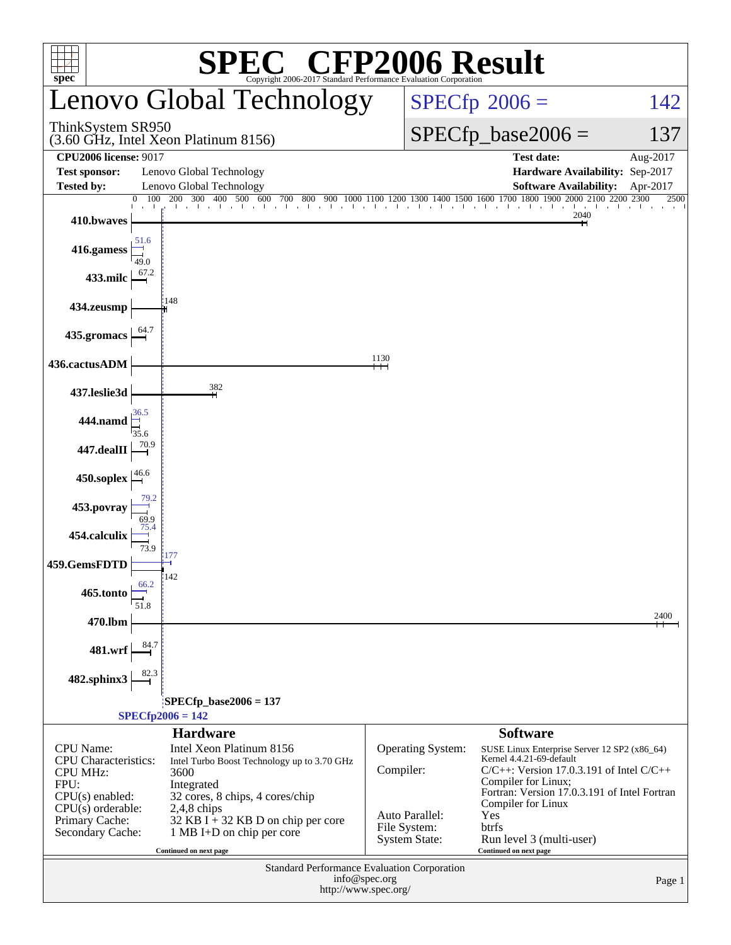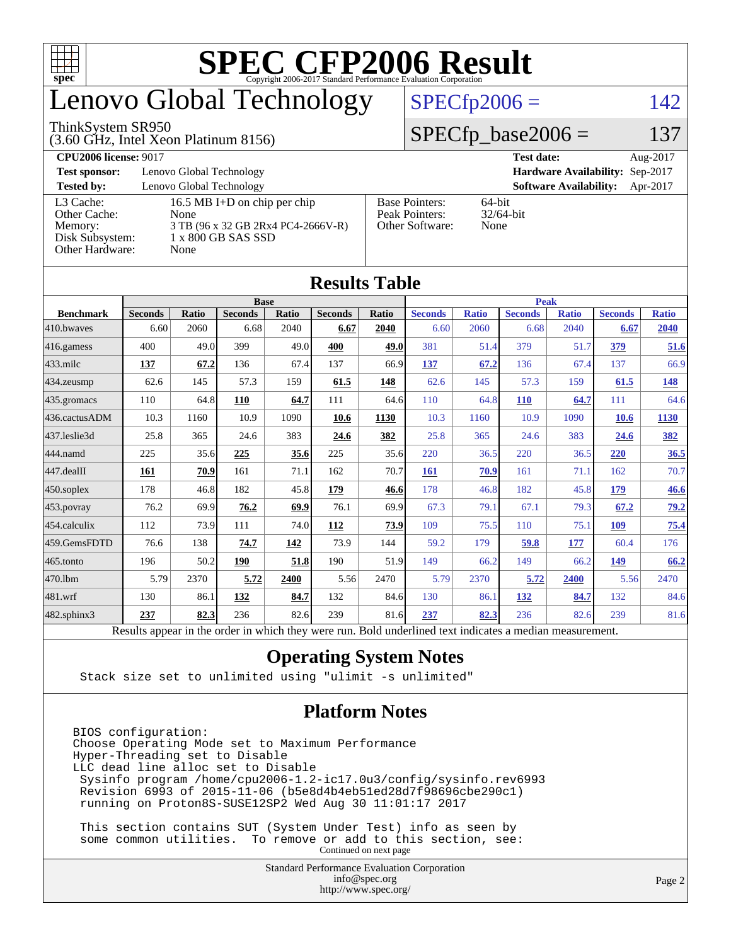

## enovo Global Technology

#### ThinkSystem SR950

(3.60 GHz, Intel Xeon Platinum 8156)

 $SPECfp2006 = 142$  $SPECfp2006 = 142$ 

#### $SPECfp\_base2006 = 137$

| <b>CPU2006 license: 9017</b> |                                    |                                 | <b>Test date:</b><br>Aug-2017             |
|------------------------------|------------------------------------|---------------------------------|-------------------------------------------|
| <b>Test sponsor:</b>         | Lenovo Global Technology           | Hardware Availability: Sep-2017 |                                           |
| <b>Tested by:</b>            | Lenovo Global Technology           |                                 | <b>Software Availability:</b><br>Apr-2017 |
| L3 Cache:                    | 16.5 MB I+D on chip per chip       | <b>Base Pointers:</b>           | $64$ -bit                                 |
| Other Cache:                 | None                               | Peak Pointers:                  | $32/64$ -bit                              |
| Memory:                      | 3 TB (96 x 32 GB 2Rx4 PC4-2666V-R) | Other Software:                 | None                                      |
| Disk Subsystem:              | 1 x 800 GB SAS SSD                 |                                 |                                           |
| Other Hardware:              | None                               |                                 |                                           |

**[Results Table](http://www.spec.org/auto/cpu2006/Docs/result-fields.html#ResultsTable)**

| Results Table          |                                                                                                          |              |                |       |                |             |                |              |                |              |                |              |  |
|------------------------|----------------------------------------------------------------------------------------------------------|--------------|----------------|-------|----------------|-------------|----------------|--------------|----------------|--------------|----------------|--------------|--|
|                        | <b>Base</b>                                                                                              |              |                |       |                | <b>Peak</b> |                |              |                |              |                |              |  |
| <b>Benchmark</b>       | <b>Seconds</b>                                                                                           | <b>Ratio</b> | <b>Seconds</b> | Ratio | <b>Seconds</b> | Ratio       | <b>Seconds</b> | <b>Ratio</b> | <b>Seconds</b> | <b>Ratio</b> | <b>Seconds</b> | <b>Ratio</b> |  |
| 410.bwaves             | 6.60                                                                                                     | 2060         | 6.68           | 2040  | 6.67           | 2040        | 6.60           | 2060         | 6.68           | 2040         | 6.67           | 2040         |  |
| 416.gamess             | 400                                                                                                      | 49.0         | 399            | 49.0  | 400            | 49.0        | 381            | 51.4         | 379            | 51.7         | 379            | 51.6         |  |
| $433$ .milc            | 137                                                                                                      | 67.2         | 136            | 67.4  | 137            | 66.9        | 137            | 67.2         | 136            | 67.4         | 137            | 66.9         |  |
| 434.zeusmp             | 62.6                                                                                                     | 145          | 57.3           | 159   | 61.5           | 148         | 62.6           | 145          | 57.3           | 159          | 61.5           | 148          |  |
| 435.gromacs            | 110                                                                                                      | 64.8         | 110            | 64.7  | 111            | 64.6        | 110            | 64.8         | <b>110</b>     | 64.7         | 111            | 64.6         |  |
| 436.cactusADM          | 10.3                                                                                                     | 1160         | 10.9           | 1090  | 10.6           | 1130        | 10.3           | 1160         | 10.9           | 1090         | <b>10.6</b>    | 1130         |  |
| 437.leslie3d           | 25.8                                                                                                     | 365          | 24.6           | 383   | 24.6           | 382         | 25.8           | 365          | 24.6           | 383          | 24.6           | 382          |  |
| 444.namd               | 225                                                                                                      | 35.6         | 225            | 35.6  | 225            | 35.6        | 220            | 36.5         | 220            | 36.5         | 220            | 36.5         |  |
| $ 447 \text{.}$ dealII | 161                                                                                                      | 70.9         | 161            | 71.1  | 162            | 70.7        | <b>161</b>     | 70.9         | 161            | 71.1         | 162            | 70.7         |  |
| $450$ .soplex          | 178                                                                                                      | 46.8         | 182            | 45.8  | 179            | 46.6        | 178            | 46.8         | 182            | 45.8         | 179            | 46.6         |  |
| 453.povray             | 76.2                                                                                                     | 69.9         | 76.2           | 69.9  | 76.1           | 69.9        | 67.3           | 79.1         | 67.1           | 79.3         | 67.2           | 79.2         |  |
| $ 454$ .calculix       | 112                                                                                                      | 73.9         | 111            | 74.0  | 112            | 73.9        | 109            | 75.5         | 110            | 75.1         | 109            | 75.4         |  |
| 459.GemsFDTD           | 76.6                                                                                                     | 138          | 74.7           | 142   | 73.9           | 144         | 59.2           | 179          | 59.8           | 177          | 60.4           | 176          |  |
| $465$ .tonto           | 196                                                                                                      | 50.2         | 190            | 51.8  | 190            | 51.9        | 149            | 66.2         | 149            | 66.2         | 149            | 66.2         |  |
| 470.1bm                | 5.79                                                                                                     | 2370         | 5.72           | 2400  | 5.56           | 2470        | 5.79           | 2370         | 5.72           | 2400         | 5.56           | 2470         |  |
| $ 481$ .wrf            | 130                                                                                                      | 86.1         | 132            | 84.7  | 132            | 84.6        | 130            | 86.1         | <u>132</u>     | 84.7         | 132            | 84.6         |  |
| 482.sphinx3            | 237                                                                                                      | 82.3         | 236            | 82.6  | 239            | 81.6        | 237            | 82.3         | 236            | 82.6         | 239            | 81.6         |  |
|                        | Results appear in the order in which they were run. Bold underlined text indicates a median measurement. |              |                |       |                |             |                |              |                |              |                |              |  |

#### **[Operating System Notes](http://www.spec.org/auto/cpu2006/Docs/result-fields.html#OperatingSystemNotes)**

Stack size set to unlimited using "ulimit -s unlimited"

#### **[Platform Notes](http://www.spec.org/auto/cpu2006/Docs/result-fields.html#PlatformNotes)**

BIOS configuration: Choose Operating Mode set to Maximum Performance Hyper-Threading set to Disable LLC dead line alloc set to Disable Sysinfo program /home/cpu2006-1.2-ic17.0u3/config/sysinfo.rev6993 Revision 6993 of 2015-11-06 (b5e8d4b4eb51ed28d7f98696cbe290c1) running on Proton8S-SUSE12SP2 Wed Aug 30 11:01:17 2017

 This section contains SUT (System Under Test) info as seen by some common utilities. To remove or add to this section, see: Continued on next page

> Standard Performance Evaluation Corporation [info@spec.org](mailto:info@spec.org) <http://www.spec.org/>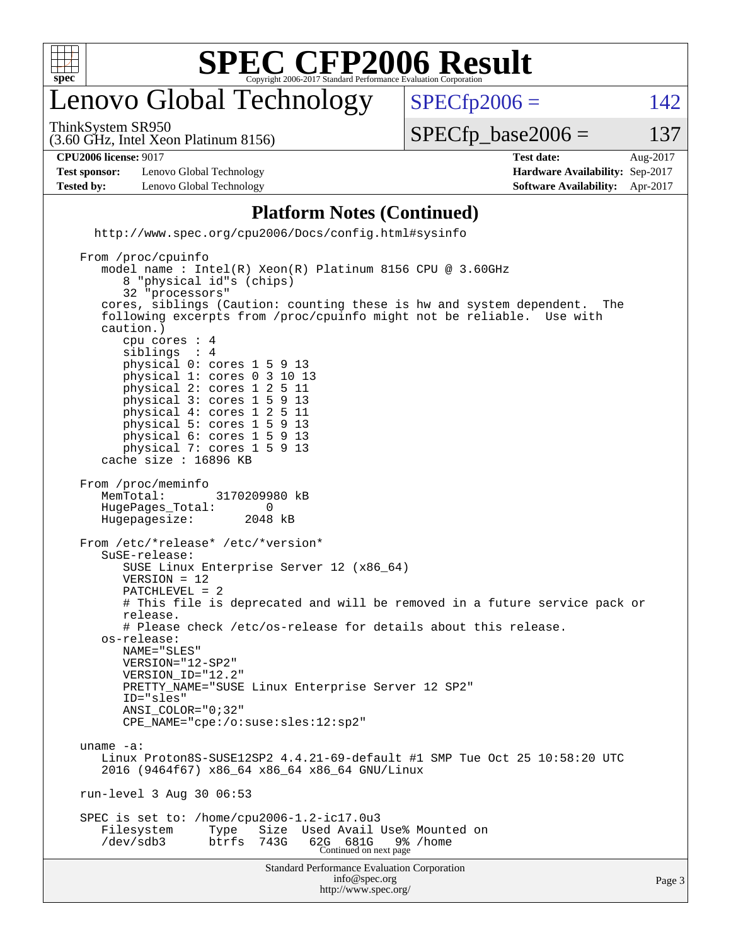

## enovo Global Technology

ThinkSystem SR950

 $SPECTp2006 = 142$ 

(3.60 GHz, Intel Xeon Platinum 8156)

 $SPECTp\_base2006 = 137$ 

**[CPU2006 license:](http://www.spec.org/auto/cpu2006/Docs/result-fields.html#CPU2006license)** 9017 **[Test date:](http://www.spec.org/auto/cpu2006/Docs/result-fields.html#Testdate)** Aug-2017

**[Test sponsor:](http://www.spec.org/auto/cpu2006/Docs/result-fields.html#Testsponsor)** Lenovo Global Technology **[Hardware Availability:](http://www.spec.org/auto/cpu2006/Docs/result-fields.html#HardwareAvailability)** Sep-2017 **[Tested by:](http://www.spec.org/auto/cpu2006/Docs/result-fields.html#Testedby)** Lenovo Global Technology **[Software Availability:](http://www.spec.org/auto/cpu2006/Docs/result-fields.html#SoftwareAvailability)** Apr-2017

#### **[Platform Notes \(Continued\)](http://www.spec.org/auto/cpu2006/Docs/result-fields.html#PlatformNotes)**

<http://www.spec.org/cpu2006/Docs/config.html#sysinfo>

```
Standard Performance Evaluation Corporation
                                      info@spec.org
                                     http://www.spec.org/
 From /proc/cpuinfo
    model name : Intel(R) Xeon(R) Platinum 8156 CPU @ 3.60GHz
        8 "physical id"s (chips)
        32 "processors"
     cores, siblings (Caution: counting these is hw and system dependent. The
     following excerpts from /proc/cpuinfo might not be reliable. Use with
     caution.)
        cpu cores : 4
       siblings
        physical 0: cores 1 5 9 13
        physical 1: cores 0 3 10 13
        physical 2: cores 1 2 5 11
        physical 3: cores 1 5 9 13
        physical 4: cores 1 2 5 11
        physical 5: cores 1 5 9 13
        physical 6: cores 1 5 9 13
        physical 7: cores 1 5 9 13
     cache size : 16896 KB
 From /proc/meminfo
    MemTotal: 3170209980 kB
     HugePages_Total: 0
    Hugepagesize: 2048 kB
 From /etc/*release* /etc/*version*
     SuSE-release:
        SUSE Linux Enterprise Server 12 (x86_64)
        VERSION = 12
        PATCHLEVEL = 2
        # This file is deprecated and will be removed in a future service pack or
        release.
        # Please check /etc/os-release for details about this release.
     os-release:
        NAME="SLES"
        VERSION="12-SP2"
        VERSION_ID="12.2"
        PRETTY_NAME="SUSE Linux Enterprise Server 12 SP2"
        ID="sles"
        ANSI_COLOR="0;32"
        CPE_NAME="cpe:/o:suse:sles:12:sp2"
 uname -a:
     Linux Proton8S-SUSE12SP2 4.4.21-69-default #1 SMP Tue Oct 25 10:58:20 UTC
     2016 (9464f67) x86_64 x86_64 x86_64 GNU/Linux
 run-level 3 Aug 30 06:53
 SPEC is set to: /home/cpu2006-1.2-ic17.0u3
   Filesystem Type Size Used Avail Use% Mounted on<br>
/dev/sdb3 btrfs 743G 62G 681G 9% /home
 /dev/sdb3 btrfs 743G 62G 681G 9% /home
Continued on next page
```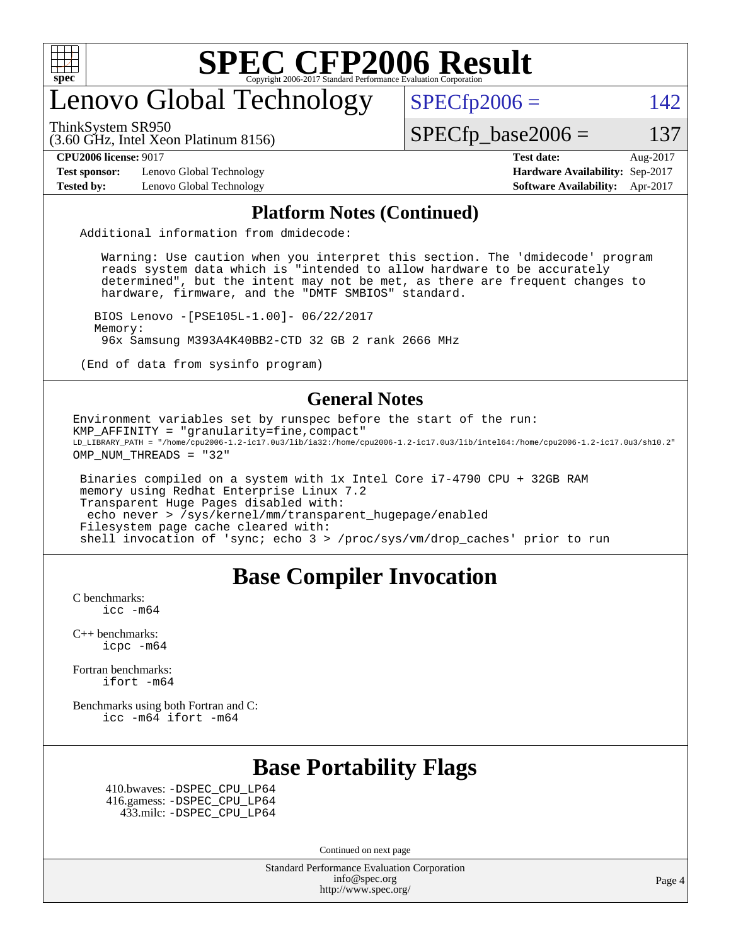

## enovo Global Technology

ThinkSystem SR950

 $SPECTp2006 = 142$ 

(3.60 GHz, Intel Xeon Platinum 8156)

 $SPECTp\_base2006 = 137$ 

**[Test sponsor:](http://www.spec.org/auto/cpu2006/Docs/result-fields.html#Testsponsor)** Lenovo Global Technology **[Hardware Availability:](http://www.spec.org/auto/cpu2006/Docs/result-fields.html#HardwareAvailability)** Sep-2017

**[CPU2006 license:](http://www.spec.org/auto/cpu2006/Docs/result-fields.html#CPU2006license)** 9017 **[Test date:](http://www.spec.org/auto/cpu2006/Docs/result-fields.html#Testdate)** Aug-2017 **[Tested by:](http://www.spec.org/auto/cpu2006/Docs/result-fields.html#Testedby)** Lenovo Global Technology **[Software Availability:](http://www.spec.org/auto/cpu2006/Docs/result-fields.html#SoftwareAvailability)** Apr-2017

#### **[Platform Notes \(Continued\)](http://www.spec.org/auto/cpu2006/Docs/result-fields.html#PlatformNotes)**

Additional information from dmidecode:

 Warning: Use caution when you interpret this section. The 'dmidecode' program reads system data which is "intended to allow hardware to be accurately determined", but the intent may not be met, as there are frequent changes to hardware, firmware, and the "DMTF SMBIOS" standard.

 BIOS Lenovo -[PSE105L-1.00]- 06/22/2017 Memory: 96x Samsung M393A4K40BB2-CTD 32 GB 2 rank 2666 MHz

(End of data from sysinfo program)

#### **[General Notes](http://www.spec.org/auto/cpu2006/Docs/result-fields.html#GeneralNotes)**

Environment variables set by runspec before the start of the run: KMP AFFINITY = "granularity=fine, compact" LD\_LIBRARY\_PATH = "/home/cpu2006-1.2-ic17.0u3/lib/ia32:/home/cpu2006-1.2-ic17.0u3/lib/intel64:/home/cpu2006-1.2-ic17.0u3/sh10.2" OMP NUM THREADS = "32"

 Binaries compiled on a system with 1x Intel Core i7-4790 CPU + 32GB RAM memory using Redhat Enterprise Linux 7.2 Transparent Huge Pages disabled with: echo never > /sys/kernel/mm/transparent\_hugepage/enabled Filesystem page cache cleared with: shell invocation of 'sync; echo 3 > /proc/sys/vm/drop\_caches' prior to run

#### **[Base Compiler Invocation](http://www.spec.org/auto/cpu2006/Docs/result-fields.html#BaseCompilerInvocation)**

[C benchmarks](http://www.spec.org/auto/cpu2006/Docs/result-fields.html#Cbenchmarks): [icc -m64](http://www.spec.org/cpu2006/results/res2017q4/cpu2006-20170917-49359.flags.html#user_CCbase_intel_icc_64bit_bda6cc9af1fdbb0edc3795bac97ada53)

[C++ benchmarks:](http://www.spec.org/auto/cpu2006/Docs/result-fields.html#CXXbenchmarks) [icpc -m64](http://www.spec.org/cpu2006/results/res2017q4/cpu2006-20170917-49359.flags.html#user_CXXbase_intel_icpc_64bit_fc66a5337ce925472a5c54ad6a0de310)

[Fortran benchmarks](http://www.spec.org/auto/cpu2006/Docs/result-fields.html#Fortranbenchmarks): [ifort -m64](http://www.spec.org/cpu2006/results/res2017q4/cpu2006-20170917-49359.flags.html#user_FCbase_intel_ifort_64bit_ee9d0fb25645d0210d97eb0527dcc06e)

[Benchmarks using both Fortran and C](http://www.spec.org/auto/cpu2006/Docs/result-fields.html#BenchmarksusingbothFortranandC): [icc -m64](http://www.spec.org/cpu2006/results/res2017q4/cpu2006-20170917-49359.flags.html#user_CC_FCbase_intel_icc_64bit_bda6cc9af1fdbb0edc3795bac97ada53) [ifort -m64](http://www.spec.org/cpu2006/results/res2017q4/cpu2006-20170917-49359.flags.html#user_CC_FCbase_intel_ifort_64bit_ee9d0fb25645d0210d97eb0527dcc06e)

#### **[Base Portability Flags](http://www.spec.org/auto/cpu2006/Docs/result-fields.html#BasePortabilityFlags)**

 410.bwaves: [-DSPEC\\_CPU\\_LP64](http://www.spec.org/cpu2006/results/res2017q4/cpu2006-20170917-49359.flags.html#suite_basePORTABILITY410_bwaves_DSPEC_CPU_LP64) 416.gamess: [-DSPEC\\_CPU\\_LP64](http://www.spec.org/cpu2006/results/res2017q4/cpu2006-20170917-49359.flags.html#suite_basePORTABILITY416_gamess_DSPEC_CPU_LP64) 433.milc: [-DSPEC\\_CPU\\_LP64](http://www.spec.org/cpu2006/results/res2017q4/cpu2006-20170917-49359.flags.html#suite_basePORTABILITY433_milc_DSPEC_CPU_LP64)

Continued on next page

Standard Performance Evaluation Corporation [info@spec.org](mailto:info@spec.org) <http://www.spec.org/>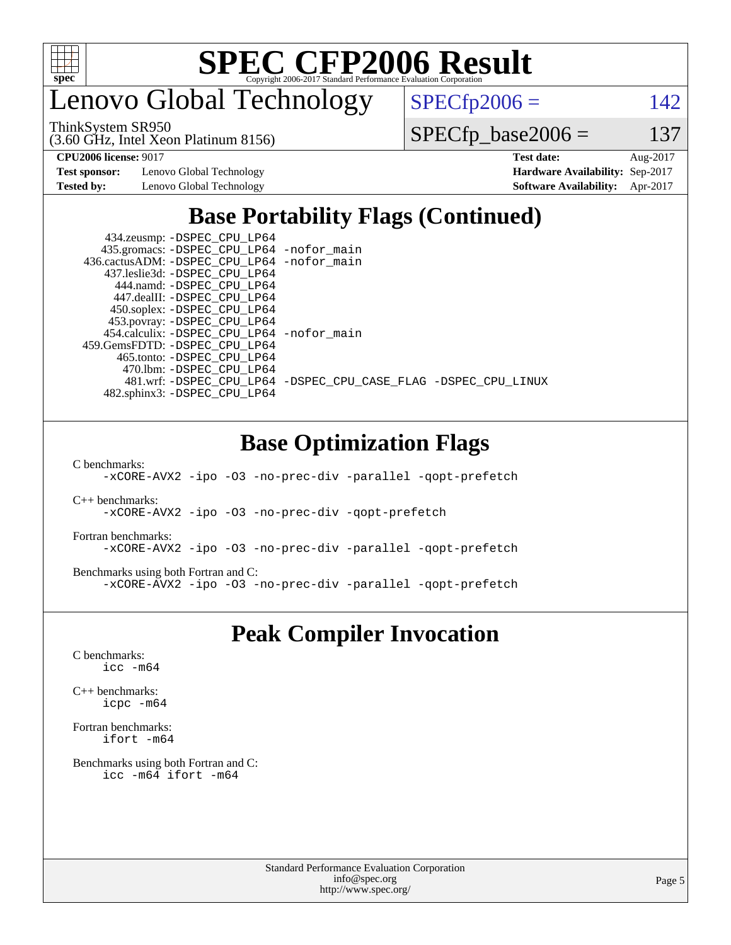

enovo Global Technology

ThinkSystem SR950

(3.60 GHz, Intel Xeon Platinum 8156)

 $SPECfp2006 = 142$  $SPECfp2006 = 142$ 

 $SPECTp\_base2006 = 137$ 

**[Test sponsor:](http://www.spec.org/auto/cpu2006/Docs/result-fields.html#Testsponsor)** Lenovo Global Technology **[Hardware Availability:](http://www.spec.org/auto/cpu2006/Docs/result-fields.html#HardwareAvailability)** Sep-2017

**[CPU2006 license:](http://www.spec.org/auto/cpu2006/Docs/result-fields.html#CPU2006license)** 9017 **[Test date:](http://www.spec.org/auto/cpu2006/Docs/result-fields.html#Testdate)** Aug-2017 **[Tested by:](http://www.spec.org/auto/cpu2006/Docs/result-fields.html#Testedby)** Lenovo Global Technology **[Software Availability:](http://www.spec.org/auto/cpu2006/Docs/result-fields.html#SoftwareAvailability)** Apr-2017

### **[Base Portability Flags \(Continued\)](http://www.spec.org/auto/cpu2006/Docs/result-fields.html#BasePortabilityFlags)**

 434.zeusmp: [-DSPEC\\_CPU\\_LP64](http://www.spec.org/cpu2006/results/res2017q4/cpu2006-20170917-49359.flags.html#suite_basePORTABILITY434_zeusmp_DSPEC_CPU_LP64) 435.gromacs: [-DSPEC\\_CPU\\_LP64](http://www.spec.org/cpu2006/results/res2017q4/cpu2006-20170917-49359.flags.html#suite_basePORTABILITY435_gromacs_DSPEC_CPU_LP64) [-nofor\\_main](http://www.spec.org/cpu2006/results/res2017q4/cpu2006-20170917-49359.flags.html#user_baseLDPORTABILITY435_gromacs_f-nofor_main) 436.cactusADM: [-DSPEC\\_CPU\\_LP64](http://www.spec.org/cpu2006/results/res2017q4/cpu2006-20170917-49359.flags.html#suite_basePORTABILITY436_cactusADM_DSPEC_CPU_LP64) [-nofor\\_main](http://www.spec.org/cpu2006/results/res2017q4/cpu2006-20170917-49359.flags.html#user_baseLDPORTABILITY436_cactusADM_f-nofor_main) 437.leslie3d: [-DSPEC\\_CPU\\_LP64](http://www.spec.org/cpu2006/results/res2017q4/cpu2006-20170917-49359.flags.html#suite_basePORTABILITY437_leslie3d_DSPEC_CPU_LP64) 444.namd: [-DSPEC\\_CPU\\_LP64](http://www.spec.org/cpu2006/results/res2017q4/cpu2006-20170917-49359.flags.html#suite_basePORTABILITY444_namd_DSPEC_CPU_LP64) 447.dealII: [-DSPEC\\_CPU\\_LP64](http://www.spec.org/cpu2006/results/res2017q4/cpu2006-20170917-49359.flags.html#suite_basePORTABILITY447_dealII_DSPEC_CPU_LP64) 450.soplex: [-DSPEC\\_CPU\\_LP64](http://www.spec.org/cpu2006/results/res2017q4/cpu2006-20170917-49359.flags.html#suite_basePORTABILITY450_soplex_DSPEC_CPU_LP64) 453.povray: [-DSPEC\\_CPU\\_LP64](http://www.spec.org/cpu2006/results/res2017q4/cpu2006-20170917-49359.flags.html#suite_basePORTABILITY453_povray_DSPEC_CPU_LP64) 454.calculix: [-DSPEC\\_CPU\\_LP64](http://www.spec.org/cpu2006/results/res2017q4/cpu2006-20170917-49359.flags.html#suite_basePORTABILITY454_calculix_DSPEC_CPU_LP64) [-nofor\\_main](http://www.spec.org/cpu2006/results/res2017q4/cpu2006-20170917-49359.flags.html#user_baseLDPORTABILITY454_calculix_f-nofor_main) 459.GemsFDTD: [-DSPEC\\_CPU\\_LP64](http://www.spec.org/cpu2006/results/res2017q4/cpu2006-20170917-49359.flags.html#suite_basePORTABILITY459_GemsFDTD_DSPEC_CPU_LP64) 465.tonto: [-DSPEC\\_CPU\\_LP64](http://www.spec.org/cpu2006/results/res2017q4/cpu2006-20170917-49359.flags.html#suite_basePORTABILITY465_tonto_DSPEC_CPU_LP64) 470.lbm: [-DSPEC\\_CPU\\_LP64](http://www.spec.org/cpu2006/results/res2017q4/cpu2006-20170917-49359.flags.html#suite_basePORTABILITY470_lbm_DSPEC_CPU_LP64) 482.sphinx3: [-DSPEC\\_CPU\\_LP64](http://www.spec.org/cpu2006/results/res2017q4/cpu2006-20170917-49359.flags.html#suite_basePORTABILITY482_sphinx3_DSPEC_CPU_LP64)

481.wrf: [-DSPEC\\_CPU\\_LP64](http://www.spec.org/cpu2006/results/res2017q4/cpu2006-20170917-49359.flags.html#suite_basePORTABILITY481_wrf_DSPEC_CPU_LP64) [-DSPEC\\_CPU\\_CASE\\_FLAG](http://www.spec.org/cpu2006/results/res2017q4/cpu2006-20170917-49359.flags.html#b481.wrf_baseCPORTABILITY_DSPEC_CPU_CASE_FLAG) [-DSPEC\\_CPU\\_LINUX](http://www.spec.org/cpu2006/results/res2017q4/cpu2006-20170917-49359.flags.html#b481.wrf_baseCPORTABILITY_DSPEC_CPU_LINUX)

### **[Base Optimization Flags](http://www.spec.org/auto/cpu2006/Docs/result-fields.html#BaseOptimizationFlags)**

[C benchmarks](http://www.spec.org/auto/cpu2006/Docs/result-fields.html#Cbenchmarks):

[-xCORE-AVX2](http://www.spec.org/cpu2006/results/res2017q4/cpu2006-20170917-49359.flags.html#user_CCbase_f-xCORE-AVX2) [-ipo](http://www.spec.org/cpu2006/results/res2017q4/cpu2006-20170917-49359.flags.html#user_CCbase_f-ipo) [-O3](http://www.spec.org/cpu2006/results/res2017q4/cpu2006-20170917-49359.flags.html#user_CCbase_f-O3) [-no-prec-div](http://www.spec.org/cpu2006/results/res2017q4/cpu2006-20170917-49359.flags.html#user_CCbase_f-no-prec-div) [-parallel](http://www.spec.org/cpu2006/results/res2017q4/cpu2006-20170917-49359.flags.html#user_CCbase_f-parallel) [-qopt-prefetch](http://www.spec.org/cpu2006/results/res2017q4/cpu2006-20170917-49359.flags.html#user_CCbase_f-qopt-prefetch)

[C++ benchmarks:](http://www.spec.org/auto/cpu2006/Docs/result-fields.html#CXXbenchmarks) [-xCORE-AVX2](http://www.spec.org/cpu2006/results/res2017q4/cpu2006-20170917-49359.flags.html#user_CXXbase_f-xCORE-AVX2) [-ipo](http://www.spec.org/cpu2006/results/res2017q4/cpu2006-20170917-49359.flags.html#user_CXXbase_f-ipo) [-O3](http://www.spec.org/cpu2006/results/res2017q4/cpu2006-20170917-49359.flags.html#user_CXXbase_f-O3) [-no-prec-div](http://www.spec.org/cpu2006/results/res2017q4/cpu2006-20170917-49359.flags.html#user_CXXbase_f-no-prec-div) [-qopt-prefetch](http://www.spec.org/cpu2006/results/res2017q4/cpu2006-20170917-49359.flags.html#user_CXXbase_f-qopt-prefetch)

[Fortran benchmarks](http://www.spec.org/auto/cpu2006/Docs/result-fields.html#Fortranbenchmarks): [-xCORE-AVX2](http://www.spec.org/cpu2006/results/res2017q4/cpu2006-20170917-49359.flags.html#user_FCbase_f-xCORE-AVX2) [-ipo](http://www.spec.org/cpu2006/results/res2017q4/cpu2006-20170917-49359.flags.html#user_FCbase_f-ipo) [-O3](http://www.spec.org/cpu2006/results/res2017q4/cpu2006-20170917-49359.flags.html#user_FCbase_f-O3) [-no-prec-div](http://www.spec.org/cpu2006/results/res2017q4/cpu2006-20170917-49359.flags.html#user_FCbase_f-no-prec-div) [-parallel](http://www.spec.org/cpu2006/results/res2017q4/cpu2006-20170917-49359.flags.html#user_FCbase_f-parallel) [-qopt-prefetch](http://www.spec.org/cpu2006/results/res2017q4/cpu2006-20170917-49359.flags.html#user_FCbase_f-qopt-prefetch)

[Benchmarks using both Fortran and C](http://www.spec.org/auto/cpu2006/Docs/result-fields.html#BenchmarksusingbothFortranandC): [-xCORE-AVX2](http://www.spec.org/cpu2006/results/res2017q4/cpu2006-20170917-49359.flags.html#user_CC_FCbase_f-xCORE-AVX2) [-ipo](http://www.spec.org/cpu2006/results/res2017q4/cpu2006-20170917-49359.flags.html#user_CC_FCbase_f-ipo) [-O3](http://www.spec.org/cpu2006/results/res2017q4/cpu2006-20170917-49359.flags.html#user_CC_FCbase_f-O3) [-no-prec-div](http://www.spec.org/cpu2006/results/res2017q4/cpu2006-20170917-49359.flags.html#user_CC_FCbase_f-no-prec-div) [-parallel](http://www.spec.org/cpu2006/results/res2017q4/cpu2006-20170917-49359.flags.html#user_CC_FCbase_f-parallel) [-qopt-prefetch](http://www.spec.org/cpu2006/results/res2017q4/cpu2006-20170917-49359.flags.html#user_CC_FCbase_f-qopt-prefetch)

#### **[Peak Compiler Invocation](http://www.spec.org/auto/cpu2006/Docs/result-fields.html#PeakCompilerInvocation)**

[C benchmarks](http://www.spec.org/auto/cpu2006/Docs/result-fields.html#Cbenchmarks): [icc -m64](http://www.spec.org/cpu2006/results/res2017q4/cpu2006-20170917-49359.flags.html#user_CCpeak_intel_icc_64bit_bda6cc9af1fdbb0edc3795bac97ada53)

[C++ benchmarks:](http://www.spec.org/auto/cpu2006/Docs/result-fields.html#CXXbenchmarks) [icpc -m64](http://www.spec.org/cpu2006/results/res2017q4/cpu2006-20170917-49359.flags.html#user_CXXpeak_intel_icpc_64bit_fc66a5337ce925472a5c54ad6a0de310)

[Fortran benchmarks](http://www.spec.org/auto/cpu2006/Docs/result-fields.html#Fortranbenchmarks): [ifort -m64](http://www.spec.org/cpu2006/results/res2017q4/cpu2006-20170917-49359.flags.html#user_FCpeak_intel_ifort_64bit_ee9d0fb25645d0210d97eb0527dcc06e)

[Benchmarks using both Fortran and C](http://www.spec.org/auto/cpu2006/Docs/result-fields.html#BenchmarksusingbothFortranandC): [icc -m64](http://www.spec.org/cpu2006/results/res2017q4/cpu2006-20170917-49359.flags.html#user_CC_FCpeak_intel_icc_64bit_bda6cc9af1fdbb0edc3795bac97ada53) [ifort -m64](http://www.spec.org/cpu2006/results/res2017q4/cpu2006-20170917-49359.flags.html#user_CC_FCpeak_intel_ifort_64bit_ee9d0fb25645d0210d97eb0527dcc06e)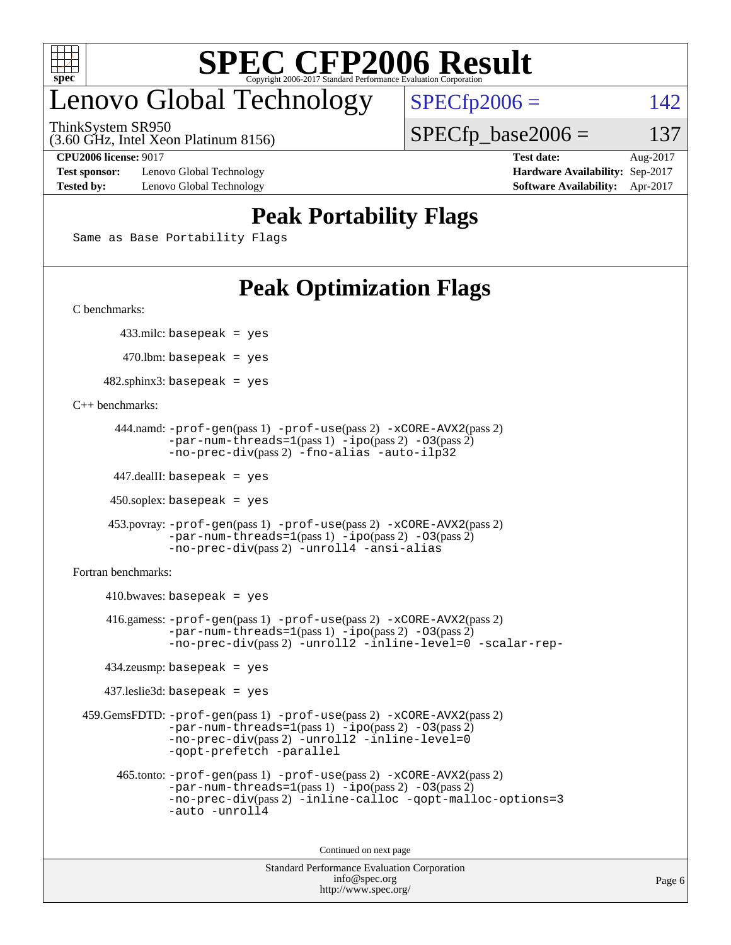

## enovo Global Technology

ThinkSystem SR950

 $SPECTp2006 = 142$ 

 $SPECTp\_base2006 = 137$ 

(3.60 GHz, Intel Xeon Platinum 8156)

**[Test sponsor:](http://www.spec.org/auto/cpu2006/Docs/result-fields.html#Testsponsor)** Lenovo Global Technology **[Hardware Availability:](http://www.spec.org/auto/cpu2006/Docs/result-fields.html#HardwareAvailability)** Sep-2017 **[Tested by:](http://www.spec.org/auto/cpu2006/Docs/result-fields.html#Testedby)** Lenovo Global Technology **[Software Availability:](http://www.spec.org/auto/cpu2006/Docs/result-fields.html#SoftwareAvailability)** Apr-2017

**[CPU2006 license:](http://www.spec.org/auto/cpu2006/Docs/result-fields.html#CPU2006license)** 9017 **[Test date:](http://www.spec.org/auto/cpu2006/Docs/result-fields.html#Testdate)** Aug-2017

#### **[Peak Portability Flags](http://www.spec.org/auto/cpu2006/Docs/result-fields.html#PeakPortabilityFlags)**

Same as Base Portability Flags

## **[Peak Optimization Flags](http://www.spec.org/auto/cpu2006/Docs/result-fields.html#PeakOptimizationFlags)**

[C benchmarks](http://www.spec.org/auto/cpu2006/Docs/result-fields.html#Cbenchmarks):

433.milc: basepeak = yes

 $470.$ lbm: basepeak = yes

 $482$ .sphinx3: basepeak = yes

#### [C++ benchmarks:](http://www.spec.org/auto/cpu2006/Docs/result-fields.html#CXXbenchmarks)

```
 444.namd: -prof-gen(pass 1) -prof-use(pass 2) -xCORE-AVX2(pass 2)
        -par-num-threads=1(pass 1) -ipo(pass 2) -O3(pass 2)
        -no-prec-div(pass 2) -fno-alias -auto-ilp32
```
447.dealII: basepeak = yes

 $450$ .soplex: basepeak = yes

```
 453.povray: -prof-gen(pass 1) -prof-use(pass 2) -xCORE-AVX2(pass 2)
         -par-num-threads=1-ipo-O3(pass 2)-no-prec-div(pass 2) -unroll4 -ansi-alias
```
[Fortran benchmarks](http://www.spec.org/auto/cpu2006/Docs/result-fields.html#Fortranbenchmarks):

```
410.bwaves: basepeak = yes 416.gamess: -prof-gen(pass 1) -prof-use(pass 2) -xCORE-AVX2(pass 2)
            -par-num-threads=1-ipo-O3(pass 2)-no-prec-div(pass 2) -unroll2 -inline-level=0 -scalar-rep-
    434.zeusmp: basepeak = yes
    437.leslie3d: basepeak = yes
 459.GemsFDTD: -prof-gen(pass 1) -prof-use(pass 2) -xCORE-AVX2(pass 2)
            -par-num-threads=1-ipo-O3(pass 2)-no-prec-div(pass 2) -unroll2 -inline-level=0
            -qopt-prefetch -parallel
      465.tonto: -prof-gen(pass 1) -prof-use(pass 2) -xCORE-AVX2(pass 2)
            -par-num-threads=1(pass 1) -ipo(pass 2) -O3(pass 2)
            -no-prec-div-inline-calloc-qopt-malloc-options=3
            -auto -unroll4
```
Continued on next page

```
Standard Performance Evaluation Corporation
             info@spec.org
           http://www.spec.org/
```